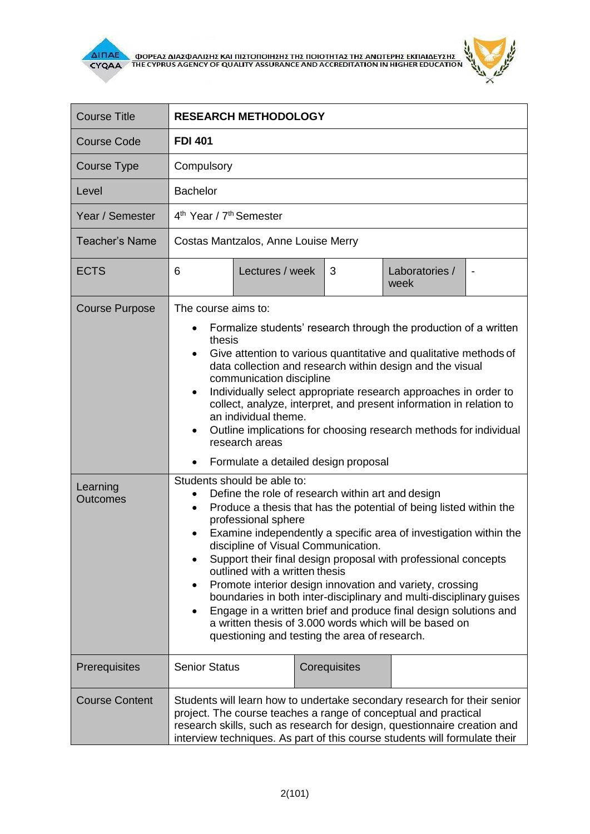

 $\overline{\Delta}$  (ΠΑΕ<br>CYQAA THE CYPRUS AGENCY OF QUALITY ASSURANCE AND ACCREDITATION IN HIGHER EDUCATION



| <b>Course Title</b>         | <b>RESEARCH METHODOLOGY</b>                                                                                                                                                                                                                                                                                                                                                                                                                                                                                                                                                                                                                                                                                |  |
|-----------------------------|------------------------------------------------------------------------------------------------------------------------------------------------------------------------------------------------------------------------------------------------------------------------------------------------------------------------------------------------------------------------------------------------------------------------------------------------------------------------------------------------------------------------------------------------------------------------------------------------------------------------------------------------------------------------------------------------------------|--|
| <b>Course Code</b>          | <b>FDI 401</b>                                                                                                                                                                                                                                                                                                                                                                                                                                                                                                                                                                                                                                                                                             |  |
| Course Type                 | Compulsory                                                                                                                                                                                                                                                                                                                                                                                                                                                                                                                                                                                                                                                                                                 |  |
| Level                       | <b>Bachelor</b>                                                                                                                                                                                                                                                                                                                                                                                                                                                                                                                                                                                                                                                                                            |  |
| Year / Semester             | 4 <sup>th</sup> Year / 7 <sup>th</sup> Semester                                                                                                                                                                                                                                                                                                                                                                                                                                                                                                                                                                                                                                                            |  |
| <b>Teacher's Name</b>       | Costas Mantzalos, Anne Louise Merry                                                                                                                                                                                                                                                                                                                                                                                                                                                                                                                                                                                                                                                                        |  |
| <b>ECTS</b>                 | Lectures / week<br>Laboratories /<br>6<br>3<br>week                                                                                                                                                                                                                                                                                                                                                                                                                                                                                                                                                                                                                                                        |  |
| <b>Course Purpose</b>       | The course aims to:<br>Formalize students' research through the production of a written<br>thesis<br>Give attention to various quantitative and qualitative methods of<br>$\bullet$<br>data collection and research within design and the visual<br>communication discipline<br>Individually select appropriate research approaches in order to<br>collect, analyze, interpret, and present information in relation to<br>an individual theme.<br>Outline implications for choosing research methods for individual<br>$\bullet$<br>research areas<br>Formulate a detailed design proposal<br>Students should be able to:                                                                                  |  |
| Learning<br><b>Outcomes</b> | Define the role of research within art and design<br>Produce a thesis that has the potential of being listed within the<br>$\bullet$<br>professional sphere<br>Examine independently a specific area of investigation within the<br>discipline of Visual Communication.<br>Support their final design proposal with professional concepts<br>outlined with a written thesis<br>Promote interior design innovation and variety, crossing<br>$\bullet$<br>boundaries in both inter-disciplinary and multi-disciplinary guises<br>Engage in a written brief and produce final design solutions and<br>a written thesis of 3,000 words which will be based on<br>questioning and testing the area of research. |  |
| Prerequisites               | <b>Senior Status</b><br>Corequisites                                                                                                                                                                                                                                                                                                                                                                                                                                                                                                                                                                                                                                                                       |  |
| <b>Course Content</b>       | Students will learn how to undertake secondary research for their senior<br>project. The course teaches a range of conceptual and practical<br>research skills, such as research for design, questionnaire creation and<br>interview techniques. As part of this course students will formulate their                                                                                                                                                                                                                                                                                                                                                                                                      |  |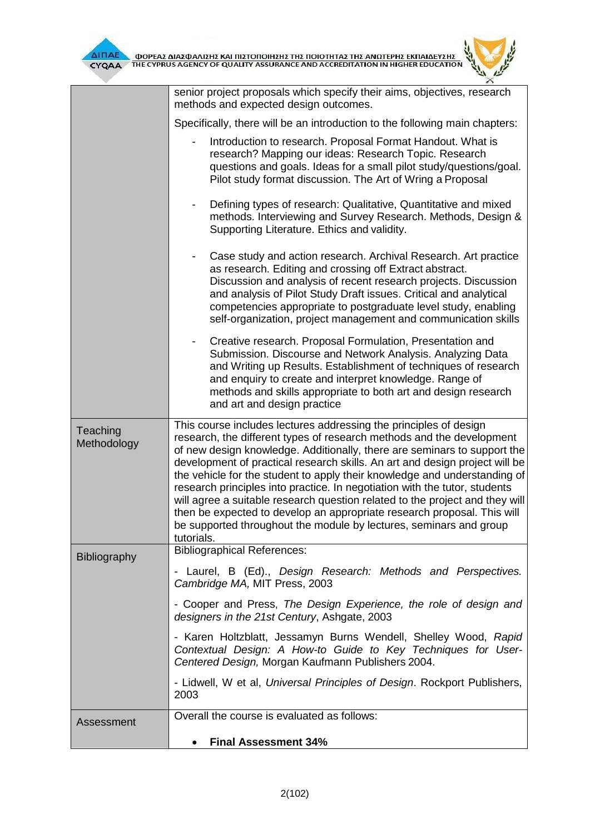| $\frac{\Sigma}{\rm ON}$ |  | Ķ |
|-------------------------|--|---|
|                         |  |   |

|                         | senior project proposals which specify their aims, objectives, research<br>methods and expected design outcomes.                                                                                                                                                                                                                                                                                                                                                                                                                                                                                                                                                                                                |  |  |  |
|-------------------------|-----------------------------------------------------------------------------------------------------------------------------------------------------------------------------------------------------------------------------------------------------------------------------------------------------------------------------------------------------------------------------------------------------------------------------------------------------------------------------------------------------------------------------------------------------------------------------------------------------------------------------------------------------------------------------------------------------------------|--|--|--|
|                         | Specifically, there will be an introduction to the following main chapters:                                                                                                                                                                                                                                                                                                                                                                                                                                                                                                                                                                                                                                     |  |  |  |
|                         | Introduction to research. Proposal Format Handout. What is<br>research? Mapping our ideas: Research Topic. Research<br>questions and goals. Ideas for a small pilot study/questions/goal.<br>Pilot study format discussion. The Art of Wring a Proposal                                                                                                                                                                                                                                                                                                                                                                                                                                                         |  |  |  |
|                         | Defining types of research: Qualitative, Quantitative and mixed<br>methods. Interviewing and Survey Research. Methods, Design &<br>Supporting Literature. Ethics and validity.                                                                                                                                                                                                                                                                                                                                                                                                                                                                                                                                  |  |  |  |
|                         | Case study and action research. Archival Research. Art practice<br>as research. Editing and crossing off Extract abstract.<br>Discussion and analysis of recent research projects. Discussion<br>and analysis of Pilot Study Draft issues. Critical and analytical<br>competencies appropriate to postgraduate level study, enabling<br>self-organization, project management and communication skills                                                                                                                                                                                                                                                                                                          |  |  |  |
|                         | Creative research. Proposal Formulation, Presentation and<br>Submission. Discourse and Network Analysis. Analyzing Data<br>and Writing up Results. Establishment of techniques of research<br>and enquiry to create and interpret knowledge. Range of<br>methods and skills appropriate to both art and design research<br>and art and design practice                                                                                                                                                                                                                                                                                                                                                          |  |  |  |
| Teaching<br>Methodology | This course includes lectures addressing the principles of design<br>research, the different types of research methods and the development<br>of new design knowledge. Additionally, there are seminars to support the<br>development of practical research skills. An art and design project will be<br>the vehicle for the student to apply their knowledge and understanding of<br>research principles into practice. In negotiation with the tutor, students<br>will agree a suitable research question related to the project and they will<br>then be expected to develop an appropriate research proposal. This will<br>be supported throughout the module by lectures, seminars and group<br>tutorials. |  |  |  |
| Bibliography            | <b>Bibliographical References:</b>                                                                                                                                                                                                                                                                                                                                                                                                                                                                                                                                                                                                                                                                              |  |  |  |
|                         | - Laurel, B (Ed)., Design Research: Methods and Perspectives.<br>Cambridge MA, MIT Press, 2003                                                                                                                                                                                                                                                                                                                                                                                                                                                                                                                                                                                                                  |  |  |  |
|                         | - Cooper and Press, The Design Experience, the role of design and<br>designers in the 21st Century, Ashgate, 2003                                                                                                                                                                                                                                                                                                                                                                                                                                                                                                                                                                                               |  |  |  |
|                         | - Karen Holtzblatt, Jessamyn Burns Wendell, Shelley Wood, Rapid<br>Contextual Design: A How-to Guide to Key Techniques for User-<br>Centered Design, Morgan Kaufmann Publishers 2004.                                                                                                                                                                                                                                                                                                                                                                                                                                                                                                                           |  |  |  |
|                         | - Lidwell, W et al, Universal Principles of Design. Rockport Publishers,<br>2003                                                                                                                                                                                                                                                                                                                                                                                                                                                                                                                                                                                                                                |  |  |  |
| Assessment              | Overall the course is evaluated as follows:                                                                                                                                                                                                                                                                                                                                                                                                                                                                                                                                                                                                                                                                     |  |  |  |
|                         | <b>Final Assessment 34%</b>                                                                                                                                                                                                                                                                                                                                                                                                                                                                                                                                                                                                                                                                                     |  |  |  |